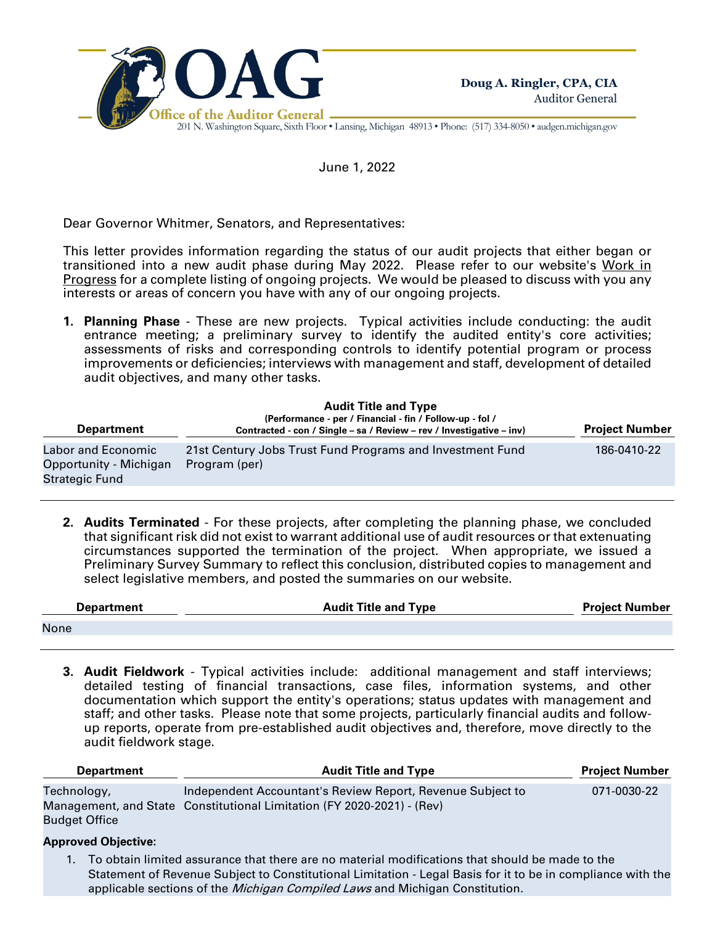

201 N. Washington Square, Sixth Floor • Lansing, Michigan 48913 • Phone: (517) 334-8050 • audgen.michigan.gov

June 1, 2022

Dear Governor Whitmer, Senators, and Representatives:

This letter provides information regarding the status of our audit projects that either began or transitioned into a new audit phase during May 2022. Please refer to our website's Work in Progress for a complete listing of ongoing projects. We would be pleased to discuss with you any interests or areas of concern you have with any of our ongoing projects.

**1. Planning Phase** - These are new projects. Typical activities include conducting: the audit entrance meeting; a preliminary survey to identify the audited entity's core activities; assessments of risks and corresponding controls to identify potential program or process improvements or deficiencies; interviews with management and staff, development of detailed audit objectives, and many other tasks.

| <b>Department</b>                                              | <b>Audit Title and Type</b><br>(Performance - per / Financial - fin / Follow-up - fol /<br>Contracted - con / Single - sa / Review - rev / Investigative - inv) | <b>Project Number</b> |
|----------------------------------------------------------------|-----------------------------------------------------------------------------------------------------------------------------------------------------------------|-----------------------|
| Labor and Economic<br>Opportunity - Michigan<br>Strategic Fund | 21st Century Jobs Trust Fund Programs and Investment Fund<br>Program (per)                                                                                      | 186-0410-22           |

**2. Audits Terminated** - For these projects, after completing the planning phase, we concluded that significant risk did not exist to warrant additional use of audit resources or that extenuating circumstances supported the termination of the project. When appropriate, we issued a Preliminary Survey Summary to reflect this conclusion, distributed copies to management and select legislative members, and posted the summaries on our website.

| <b>Department</b> | <b>Audit Title and Type</b> | Proiect Number |
|-------------------|-----------------------------|----------------|
| None              |                             |                |

**3. Audit Fieldwork** - Typical activities include: additional management and staff interviews; detailed testing of financial transactions, case files, information systems, and other documentation which support the entity's operations; status updates with management and staff; and other tasks. Please note that some projects, particularly financial audits and followup reports, operate from pre-established audit objectives and, therefore, move directly to the audit fieldwork stage.

| <b>Department</b>                   | <b>Audit Title and Type</b>                                                                                                          | <b>Project Number</b> |
|-------------------------------------|--------------------------------------------------------------------------------------------------------------------------------------|-----------------------|
| Technology,<br><b>Budget Office</b> | Independent Accountant's Review Report, Revenue Subject to<br>Management, and State Constitutional Limitation (FY 2020-2021) - (Rev) | 071-0030-22           |
| <b>Approved Objective:</b>          |                                                                                                                                      |                       |

1. To obtain limited assurance that there are no material modifications that should be made to the Statement of Revenue Subject to Constitutional Limitation - Legal Basis for it to be in compliance with the applicable sections of the *Michigan Compiled Laws* and Michigan Constitution.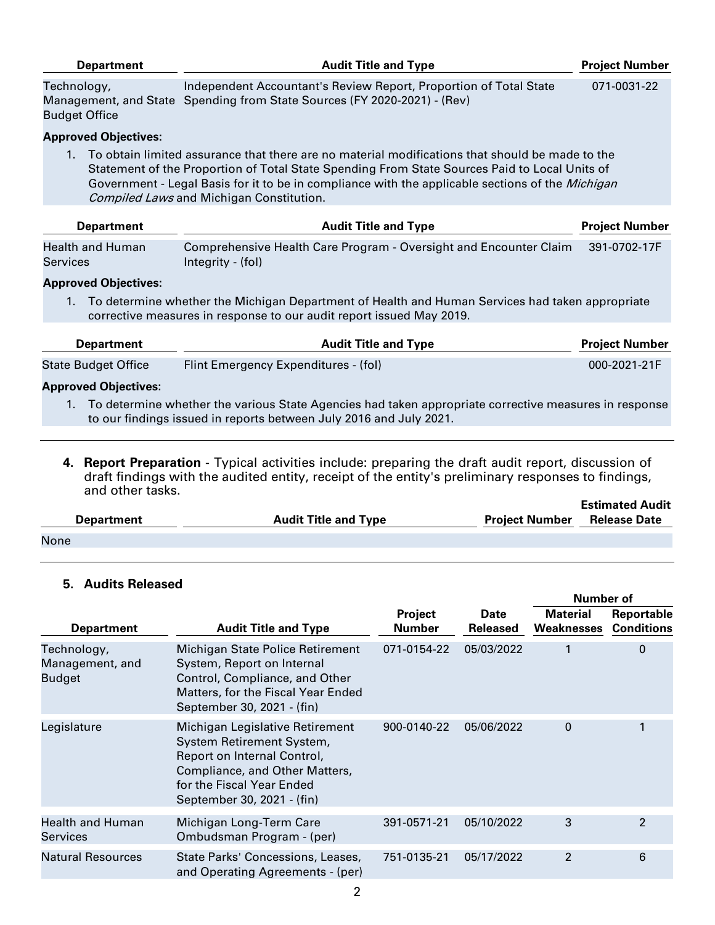| <b>Department</b>                                                                                                                                                                                                                                                                                                                                                  | <b>Audit Title and Type</b>                                                                                                                   | <b>Project Number</b> |  |  |
|--------------------------------------------------------------------------------------------------------------------------------------------------------------------------------------------------------------------------------------------------------------------------------------------------------------------------------------------------------------------|-----------------------------------------------------------------------------------------------------------------------------------------------|-----------------------|--|--|
| Technology,<br><b>Budget Office</b>                                                                                                                                                                                                                                                                                                                                | Independent Accountant's Review Report, Proportion of Total State<br>Management, and State Spending from State Sources (FY 2020-2021) - (Rev) | 071-0031-22           |  |  |
| <b>Approved Objectives:</b>                                                                                                                                                                                                                                                                                                                                        |                                                                                                                                               |                       |  |  |
| To obtain limited assurance that there are no material modifications that should be made to the<br>$1_{-}$<br>Statement of the Proportion of Total State Spending From State Sources Paid to Local Units of<br>Government - Legal Basis for it to be in compliance with the applicable sections of the <i>Michigan</i><br>Compiled Laws and Michigan Constitution. |                                                                                                                                               |                       |  |  |
| <b>Department</b>                                                                                                                                                                                                                                                                                                                                                  | <b>Audit Title and Type</b>                                                                                                                   | <b>Project Number</b> |  |  |
| <b>Health and Human</b><br>Services                                                                                                                                                                                                                                                                                                                                | Comprehensive Health Care Program - Oversight and Encounter Claim<br>Integrity - (fol)                                                        | 391-0702-17F          |  |  |
| <b>Approved Objectives:</b>                                                                                                                                                                                                                                                                                                                                        |                                                                                                                                               |                       |  |  |
| To determine whether the Michigan Department of Health and Human Services had taken appropriate<br>$1_{-}$<br>corrective measures in response to our audit report issued May 2019.                                                                                                                                                                                 |                                                                                                                                               |                       |  |  |
| <b>Department</b>                                                                                                                                                                                                                                                                                                                                                  | <b>Audit Title and Type</b>                                                                                                                   | <b>Project Number</b> |  |  |
| <b>State Budget Office</b>                                                                                                                                                                                                                                                                                                                                         | Flint Emergency Expenditures - (fol)                                                                                                          | 000-2021-21F          |  |  |
| <b>Approved Objectives:</b>                                                                                                                                                                                                                                                                                                                                        |                                                                                                                                               |                       |  |  |
| To determine whether the various State Agencies had taken appropriate corrective measures in response<br>$1_{\cdot}$<br>to our findings issued in reports between July 2016 and July 2021.                                                                                                                                                                         |                                                                                                                                               |                       |  |  |

**4. Report Preparation** - Typical activities include: preparing the draft audit report, discussion of draft findings with the audited entity, receipt of the entity's preliminary responses to findings, and other tasks. **Estimated Audit** 

| <b>Department</b> | <b>Audit Title and Type</b> | <b>Project Number</b> | <b>Estimated Audit</b><br><b>Release Date</b> |
|-------------------|-----------------------------|-----------------------|-----------------------------------------------|
| None              |                             |                       |                                               |

## **5. Audits Released**

|                                                 |                                                                                                                                                                                          |                          |                                | Number of                     |                                 |
|-------------------------------------------------|------------------------------------------------------------------------------------------------------------------------------------------------------------------------------------------|--------------------------|--------------------------------|-------------------------------|---------------------------------|
| <b>Department</b>                               | <b>Audit Title and Type</b>                                                                                                                                                              | Project<br><b>Number</b> | <b>Date</b><br><b>Released</b> | <b>Material</b><br>Weaknesses | Reportable<br><b>Conditions</b> |
| Technology,<br>Management, and<br><b>Budget</b> | Michigan State Police Retirement<br>System, Report on Internal<br>Control, Compliance, and Other<br>Matters, for the Fiscal Year Ended<br>September 30, 2021 - (fin)                     | 071-0154-22              | 05/03/2022                     |                               | 0                               |
| Legislature                                     | Michigan Legislative Retirement<br>System Retirement System,<br>Report on Internal Control,<br>Compliance, and Other Matters,<br>for the Fiscal Year Ended<br>September 30, 2021 - (fin) | 900-0140-22              | 05/06/2022                     | $\mathbf 0$                   |                                 |
| <b>Health and Human</b><br><b>Services</b>      | Michigan Long-Term Care<br>Ombudsman Program - (per)                                                                                                                                     | 391-0571-21              | 05/10/2022                     | 3                             | $\mathcal{P}$                   |
| <b>Natural Resources</b>                        | State Parks' Concessions, Leases,<br>and Operating Agreements - (per)                                                                                                                    | 751-0135-21              | 05/17/2022                     | 2                             | 6                               |